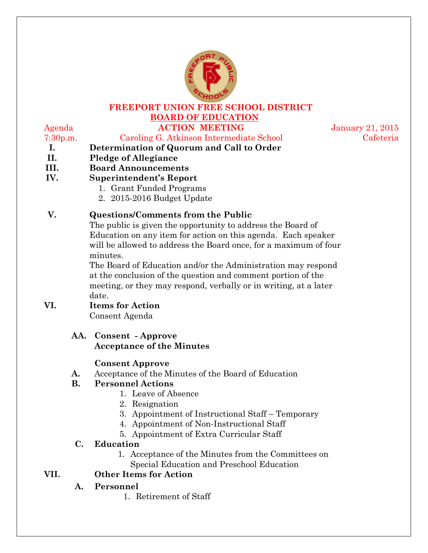

# **FREEPORT UNION FREE SCHOOL DISTRICT BOARD OF EDUCATION**

# Agenda **ACTION MEETING** January 21, 2015

# 7:30p.m. Caroling G. Atkinson Intermediate School Cafeteria

- **I. Determination of Quorum and Call to Order II. Pledge of Allegiance**
- **III. Board Announcements**
- **IV. Superintendent's Report** 
	- 1. Grant Funded Programs
	- 2. 2015-2016 Budget Update

# **V. Questions/Comments from the Public**

The public is given the opportunity to address the Board of Education on any item for action on this agenda. Each speaker will be allowed to address the Board once, for a maximum of four minutes.

The Board of Education and/or the Administration may respond at the conclusion of the question and comment portion of the meeting, or they may respond, verbally or in writing, at a later date.

# **VI. Items for Action**

Consent Agenda

#### **AA. Consent - Approve Acceptance of the Minutes**

# **Consent Approve**

#### **A.** Acceptance of the Minutes of the Board of Education

#### **B. Personnel Actions**

- 1. Leave of Absence
- 2. Resignation
- 3. Appointment of Instructional Staff Temporary
- 4. Appointment of Non-Instructional Staff
- 5. Appointment of Extra Curricular Staff

#### **C. Education**

1. Acceptance of the Minutes from the Committees on Special Education and Preschool Education

# **VII. Other Items for Action**

- **A. Personnel**
	- 1. Retirement of Staff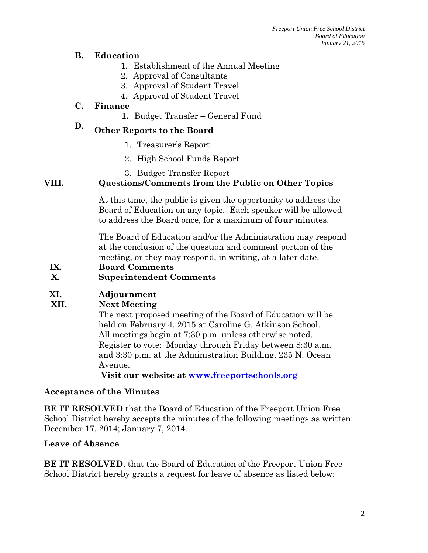*Freeport Union Free School District Board of Education January 21, 2015*

#### **B. Education**

- 1. Establishment of the Annual Meeting
- 2. Approval of Consultants
- 3. Approval of Student Travel
- **4.** Approval of Student Travel

#### **C. Finance**

**1.** Budget Transfer – General Fund

# **D. Other Reports to the Board**

- 1. Treasurer's Report
- 2. High School Funds Report
- 3. Budget Transfer Report

#### **VIII. Questions/Comments from the Public on Other Topics**

At this time, the public is given the opportunity to address the Board of Education on any topic. Each speaker will be allowed to address the Board once, for a maximum of **four** minutes.

The Board of Education and/or the Administration may respond at the conclusion of the question and comment portion of the meeting, or they may respond, in writing, at a later date.

**IX. Board Comments**

#### **X. Superintendent Comments**

#### **XI. Adjournment**

#### **XII. Next Meeting**

The next proposed meeting of the Board of Education will be held on February 4, 2015 at Caroline G. Atkinson School. All meetings begin at 7:30 p.m. unless otherwise noted. Register to vote: Monday through Friday between 8:30 a.m. and 3:30 p.m. at the Administration Building, 235 N. Ocean Avenue.

**Visit our website at [www.freeportschools.org](http://www.freeportschools.org/)**

#### **Acceptance of the Minutes**

**BE IT RESOLVED** that the Board of Education of the Freeport Union Free School District hereby accepts the minutes of the following meetings as written: December 17, 2014; January 7, 2014.

#### **Leave of Absence**

**BE IT RESOLVED**, that the Board of Education of the Freeport Union Free School District hereby grants a request for leave of absence as listed below: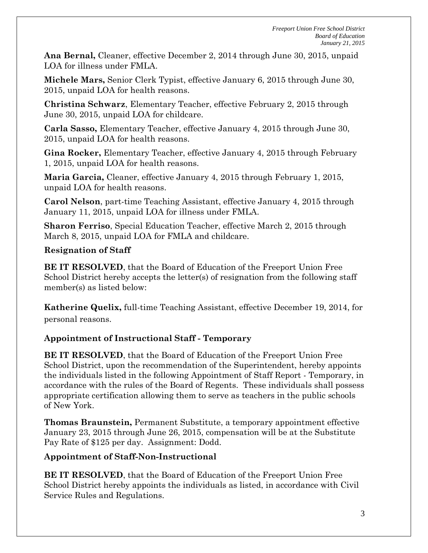**Ana Bernal,** Cleaner, effective December 2, 2014 through June 30, 2015, unpaid LOA for illness under FMLA.

**Michele Mars,** Senior Clerk Typist, effective January 6, 2015 through June 30, 2015, unpaid LOA for health reasons.

**Christina Schwarz**, Elementary Teacher, effective February 2, 2015 through June 30, 2015, unpaid LOA for childcare.

**Carla Sasso,** Elementary Teacher, effective January 4, 2015 through June 30, 2015, unpaid LOA for health reasons.

**Gina Rocker,** Elementary Teacher, effective January 4, 2015 through February 1, 2015, unpaid LOA for health reasons.

**Maria Garcia,** Cleaner, effective January 4, 2015 through February 1, 2015, unpaid LOA for health reasons.

**Carol Nelson**, part-time Teaching Assistant, effective January 4, 2015 through January 11, 2015, unpaid LOA for illness under FMLA.

**Sharon Ferriso**, Special Education Teacher, effective March 2, 2015 through March 8, 2015, unpaid LOA for FMLA and childcare.

# **Resignation of Staff**

**BE IT RESOLVED**, that the Board of Education of the Freeport Union Free School District hereby accepts the letter(s) of resignation from the following staff member(s) as listed below:

**Katherine Quelix,** full-time Teaching Assistant, effective December 19, 2014, for personal reasons.

# **Appointment of Instructional Staff - Temporary**

**BE IT RESOLVED**, that the Board of Education of the Freeport Union Free School District, upon the recommendation of the Superintendent, hereby appoints the individuals listed in the following Appointment of Staff Report - Temporary, in accordance with the rules of the Board of Regents. These individuals shall possess appropriate certification allowing them to serve as teachers in the public schools of New York.

**Thomas Braunstein,** Permanent Substitute, a temporary appointment effective January 23, 2015 through June 26, 2015, compensation will be at the Substitute Pay Rate of \$125 per day. Assignment: Dodd.

# **Appointment of Staff-Non-Instructional**

**BE IT RESOLVED**, that the Board of Education of the Freeport Union Free School District hereby appoints the individuals as listed, in accordance with Civil Service Rules and Regulations.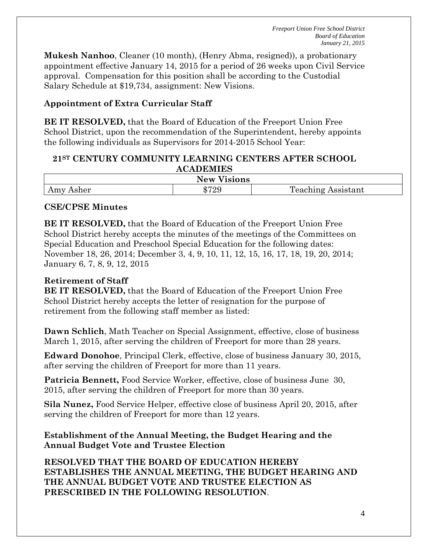*Freeport Union Free School District Board of Education January 21, 2015*

**Mukesh Nanhoo**, Cleaner (10 month), (Henry Abma, resigned)), a probationary appointment effective January 14, 2015 for a period of 26 weeks upon Civil Service approval. Compensation for this position shall be according to the Custodial Salary Schedule at \$19,734, assignment: New Visions.

# **Appointment of Extra Curricular Staff**

**BE IT RESOLVED,** that the Board of Education of the Freeport Union Free School District, upon the recommendation of the Superintendent, hereby appoints the following individuals as Supervisors for 2014-2015 School Year:

#### **21ST CENTURY COMMUNITY LEARNING CENTERS AFTER SCHOOL ACADEMIES**

| ---<br>New.<br><b>ISIONS</b>                        |             |                             |  |  |
|-----------------------------------------------------|-------------|-----------------------------|--|--|
| $\sim$ $\sim$ $\sim$ $\sim$<br>Asher<br><b>TTTT</b> | 0.70C<br>∠⊾ | m<br>'eaching'<br>Assistant |  |  |

#### **CSE/CPSE Minutes**

**BE IT RESOLVED,** that the Board of Education of the Freeport Union Free School District hereby accepts the minutes of the meetings of the Committees on Special Education and Preschool Special Education for the following dates: November 18, 26, 2014; December 3, 4, 9, 10, 11, 12, 15, 16, 17, 18, 19, 20, 2014; January 6, 7, 8, 9, 12, 2015

#### **Retirement of Staff**

**BE IT RESOLVED,** that the Board of Education of the Freeport Union Free School District hereby accepts the letter of resignation for the purpose of retirement from the following staff member as listed:

**Dawn Schlich**, Math Teacher on Special Assignment, effective, close of business March 1, 2015, after serving the children of Freeport for more than 28 years.

**Edward Donohoe**, Principal Clerk, effective, close of business January 30, 2015, after serving the children of Freeport for more than 11 years.

Patricia Bennett, Food Service Worker, effective, close of business June 30, 2015, after serving the children of Freeport for more than 30 years.

**Sila Nunez,** Food Service Helper, effective close of business April 20, 2015, after serving the children of Freeport for more than 12 years.

### **Establishment of the Annual Meeting, the Budget Hearing and the Annual Budget Vote and Trustee Election**

**RESOLVED THAT THE BOARD OF EDUCATION HEREBY ESTABLISHES THE ANNUAL MEETING, THE BUDGET HEARING AND THE ANNUAL BUDGET VOTE AND TRUSTEE ELECTION AS PRESCRIBED IN THE FOLLOWING RESOLUTION**.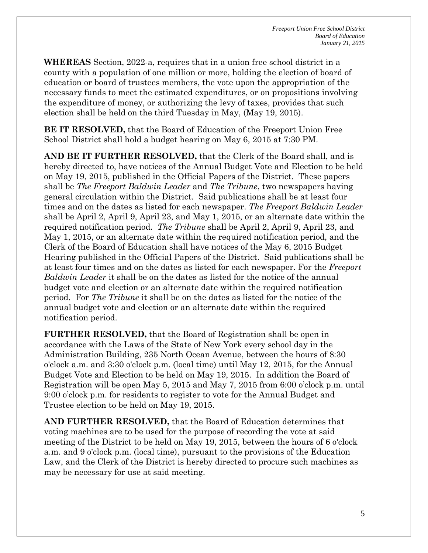**WHEREAS** Section, 2022-a, requires that in a union free school district in a county with a population of one million or more, holding the election of board of education or board of trustees members, the vote upon the appropriation of the necessary funds to meet the estimated expenditures, or on propositions involving the expenditure of money, or authorizing the levy of taxes, provides that such election shall be held on the third Tuesday in May, (May 19, 2015).

**BE IT RESOLVED,** that the Board of Education of the Freeport Union Free School District shall hold a budget hearing on May 6, 2015 at 7:30 PM.

**AND BE IT FURTHER RESOLVED,** that the Clerk of the Board shall, and is hereby directed to, have notices of the Annual Budget Vote and Election to be held on May 19, 2015, published in the Official Papers of the District. These papers shall be *The Freeport Baldwin Leader* and *The Tribune*, two newspapers having general circulation within the District. Said publications shall be at least four times and on the dates as listed for each newspaper. *The Freeport Baldwin Leader* shall be April 2, April 9, April 23, and May 1, 2015, or an alternate date within the required notification period. *The Tribune* shall be April 2, April 9, April 23, and May 1, 2015, or an alternate date within the required notification period, and the Clerk of the Board of Education shall have notices of the May 6, 2015 Budget Hearing published in the Official Papers of the District. Said publications shall be at least four times and on the dates as listed for each newspaper. For the *Freeport Baldwin Leader* it shall be on the dates as listed for the notice of the annual budget vote and election or an alternate date within the required notification period. For *The Tribune* it shall be on the dates as listed for the notice of the annual budget vote and election or an alternate date within the required notification period.

**FURTHER RESOLVED,** that the Board of Registration shall be open in accordance with the Laws of the State of New York every school day in the Administration Building, 235 North Ocean Avenue, between the hours of 8:30 o'clock a.m. and 3:30 o'clock p.m. (local time) until May 12, 2015, for the Annual Budget Vote and Election to be held on May 19, 2015. In addition the Board of Registration will be open May 5, 2015 and May 7, 2015 from 6:00 o'clock p.m. until 9:00 o'clock p.m. for residents to register to vote for the Annual Budget and Trustee election to be held on May 19, 2015.

**AND FURTHER RESOLVED,** that the Board of Education determines that voting machines are to be used for the purpose of recording the vote at said meeting of the District to be held on May 19, 2015, between the hours of 6 o'clock a.m. and 9 o'clock p.m. (local time), pursuant to the provisions of the Education Law, and the Clerk of the District is hereby directed to procure such machines as may be necessary for use at said meeting.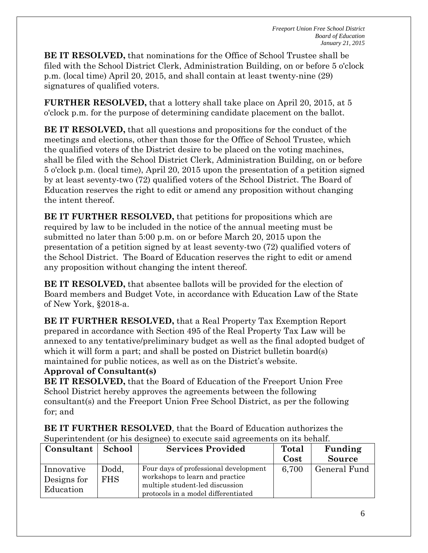**BE IT RESOLVED,** that nominations for the Office of School Trustee shall be filed with the School District Clerk, Administration Building, on or before 5 o'clock p.m. (local time) April 20, 2015, and shall contain at least twenty-nine (29) signatures of qualified voters.

**FURTHER RESOLVED,** that a lottery shall take place on April 20, 2015, at 5 o'clock p.m. for the purpose of determining candidate placement on the ballot.

**BE IT RESOLVED,** that all questions and propositions for the conduct of the meetings and elections, other than those for the Office of School Trustee, which the qualified voters of the District desire to be placed on the voting machines, shall be filed with the School District Clerk, Administration Building, on or before 5 o'clock p.m. (local time), April 20, 2015 upon the presentation of a petition signed by at least seventy-two (72) qualified voters of the School District. The Board of Education reserves the right to edit or amend any proposition without changing the intent thereof.

**BE IT FURTHER RESOLVED,** that petitions for propositions which are required by law to be included in the notice of the annual meeting must be submitted no later than 5:00 p.m. on or before March 20, 2015 upon the presentation of a petition signed by at least seventy-two (72) qualified voters of the School District. The Board of Education reserves the right to edit or amend any proposition without changing the intent thereof.

**BE IT RESOLVED,** that absentee ballots will be provided for the election of Board members and Budget Vote, in accordance with Education Law of the State of New York, §2018-a.

**BE IT FURTHER RESOLVED,** that a Real Property Tax Exemption Report prepared in accordance with Section 495 of the Real Property Tax Law will be annexed to any tentative/preliminary budget as well as the final adopted budget of which it will form a part; and shall be posted on District bulletin board(s) maintained for public notices, as well as on the District's website.

#### **Approval of Consultant(s)**

**BE IT RESOLVED,** that the Board of Education of the Freeport Union Free School District hereby approves the agreements between the following consultant(s) and the Freeport Union Free School District, as per the following for; and

**BE IT FURTHER RESOLVED**, that the Board of Education authorizes the Superintendent (or his designee) to execute said agreements on its behalf.

| Consultant                             | <b>School</b>       | <b>Services Provided</b>                                                                                                                           | Total | Funding       |
|----------------------------------------|---------------------|----------------------------------------------------------------------------------------------------------------------------------------------------|-------|---------------|
|                                        |                     |                                                                                                                                                    | Cost  | <b>Source</b> |
| Innovative<br>Designs for<br>Education | Dodd,<br><b>FHS</b> | Four days of professional development<br>workshops to learn and practice<br>multiple student-led discussion<br>protocols in a model differentiated | 6,700 | General Fund  |